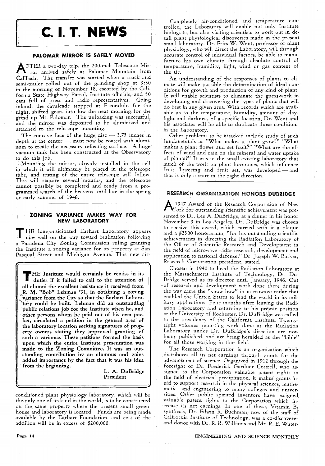# **c. I. T. NEWS**

#### **PALOMAR MIRROR IS SAFELY MOVED**

A  $ETER$  a two-day trip, the 200-inch Telescope Mirror arrived safely at Palomar Mountam from CalTech. The transfer was started when a truck and semi-trailer rolled out of the grinding shop at 3:30 in the morning of November  $18$ , escorted by the California State Highway Patrol, Institute officials, and 50 cars full of press and radio representatives. inland, the cavalcade stopped at Escondido for the night, shifted gears into low the next morning for the grind up Mt. Palomar. The unloading was successful, and the mirror was deposited to be aluminized and attached to the telescope mounting.

The concave face of the huge disc  $-$  3.75 inches in depth at the center  $-$  must now be coated with aluminum to create the necessary reflecting surface. A huge vacuum tank has been constructed at the Observatory to do this job.

Mounting the mirror, already installed in the cell in which it will ultimately be placed in the telescope tube, and testing of the entire telescope will follow. This will require several months, and the telescope cannot possibly be completed and ready from a programmed search of the heavens until late in the spring qr early summer of 1948.

#### **ZONING VARIANCE** MAKES WAY **FOR NEW LABORATORY**

T HE long-anticipated Earhart Laboratory appears , now well on the way toward realization following a Pasadena City Zoning Commission ruling granting the Institute a zoning variance for its property at San Pasqual Street and Michigan Avenue. This new air-

THE Institute would certainly be remiss in its duties if it failed to call to the attention of all alumni the excellent assistance it received from R. M. "Bob" Lehman '31, in obtaining a zoning variance from the City so that the Earhart Laboratory could be built. Lehman did an outstanding public relations job for the Institute when he, and other persons whom he paid out of his own pocket, circulated a petition in the general area of the laboratory location seeking signatures of property owners stating they approved granting of such a variance. These petitions formed the basis upon which the entire Institute presentation was made to the Zoning Committee. It was an out· standing contribution by an alumnus and gains added importance by the fact that it was his idea from the beginning.

L. A. DuBridge President

,\

conditioned plant physiology laboratory, which will be the only one of its kind in the world, is to be constructed on the same property where the present small greenhouse and laboratory is located. Funds are being made available by the Earhart Foundation, and cost of the addition will be in excess of \$200,000.

An understanding of the responses of plants to climate will make possible the determination of ideal conditions for growth and production of any kind of plant. It will enable scientists to eliminate the guess-work in developing and discovering the types of plants that will do best in any given area. With records which are available as to the temperature, humidity, amount of daylight and darkness of a specific location, Dr. Went and his associates will be able to duplicate those conditions in the Laboratory.

. Other problems to be attacked include study of such fundamentals as "What makes a plant grow?" "What makes a plant flower and set fruit?" "What are the effects of wind and rain on the mineral and water uptake of plants?" It was in the small existing laboratory that much of the work on plant hormones, which influence fruit flowering and fruit set, was developed - and that is only a start in the right direction.

## RESEARCH ORGANIZATION HONORS DUBRIDGE

A 1947 Award of the Research Corporation of New York for outstanding scientific achievement was presented to Dr. Lee A. DuBridge, at a dinner in his honor November 3 in Los Angeles. Dr. DuBridge was chosen to receive this award, which carried with it a plaque and a \$2500 honorarium, "for his outstanding scientific achievements in directing the Radiation Laboratory of the Office of Scientific Research and Development in the field of microwave radar research, development and application to national defense," Dr. Joseph W. Barker, Research Corporation president, stated.

Chosen in 1940 to head the Radiation Laboratory at the Massachusetts Institute of Technology, Dr. Du-Bridge served as its director until January, 1946. Out - of research and development work done there during the war came the "know how" in microwave radar that enabled the United States to lead the world in its military applications. Four months after leaving the Radiation Laboratory and returning to his prewar position at the University of Rochester, Dr. DuBridge was called to the presidency of the California Institute. Twentyeight volumes reporting work done at the Radiation Laboratory under Dr. DuBridge's direction are now being published, and are being heralded as the "bible" for all those working in that field.

The Research Corporation is an organization which distributes all its net earnings through grants for the advancement of science. Organized in 1912 through the foresight of Dr. Frederick Gardner Cottrell, who assigned to the Corporation valuable patent rights in the field of electrical precipitation, it makes' grants-inaid to support research in the physical sciences, mathematics and engineering to many colleges and universities. Other public spirited inventors have assigned, valuable patent rights to the Corporation which increase its net earnings. In one of these, Vitamin  $B_1$ synthesis, Dr. Edwin R. Buchman, now of the staff of California Institute of Technology, was a co-discoverer and donor with Dr. R. R. Williams and Mr. R. E. Water-

#### ENGINEERING AND SCIENCE MONTHLY

Page 14